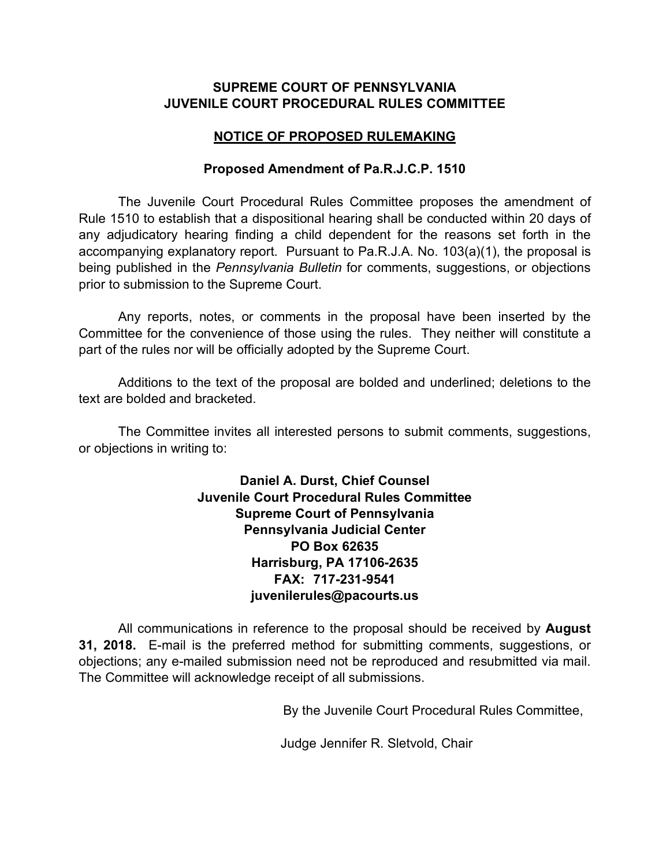# **SUPREME COURT OF PENNSYLVANIA JUVENILE COURT PROCEDURAL RULES COMMITTEE**

### **NOTICE OF PROPOSED RULEMAKING**

# **Proposed Amendment of Pa.R.J.C.P. 1510**

The Juvenile Court Procedural Rules Committee proposes the amendment of Rule 1510 to establish that a dispositional hearing shall be conducted within 20 days of any adjudicatory hearing finding a child dependent for the reasons set forth in the accompanying explanatory report. Pursuant to Pa.R.J.A. No. 103(a)(1), the proposal is being published in the *Pennsylvania Bulletin* for comments, suggestions, or objections prior to submission to the Supreme Court.

Any reports, notes, or comments in the proposal have been inserted by the Committee for the convenience of those using the rules. They neither will constitute a part of the rules nor will be officially adopted by the Supreme Court.

Additions to the text of the proposal are bolded and underlined; deletions to the text are bolded and bracketed.

The Committee invites all interested persons to submit comments, suggestions, or objections in writing to:

> **Daniel A. Durst, Chief Counsel Juvenile Court Procedural Rules Committee Supreme Court of Pennsylvania Pennsylvania Judicial Center PO Box 62635 Harrisburg, PA 17106-2635 FAX: 717-231-9541 juvenilerules@pacourts.us**

All communications in reference to the proposal should be received by **August 31, 2018.** E-mail is the preferred method for submitting comments, suggestions, or objections; any e-mailed submission need not be reproduced and resubmitted via mail. The Committee will acknowledge receipt of all submissions.

By the Juvenile Court Procedural Rules Committee,

Judge Jennifer R. Sletvold, Chair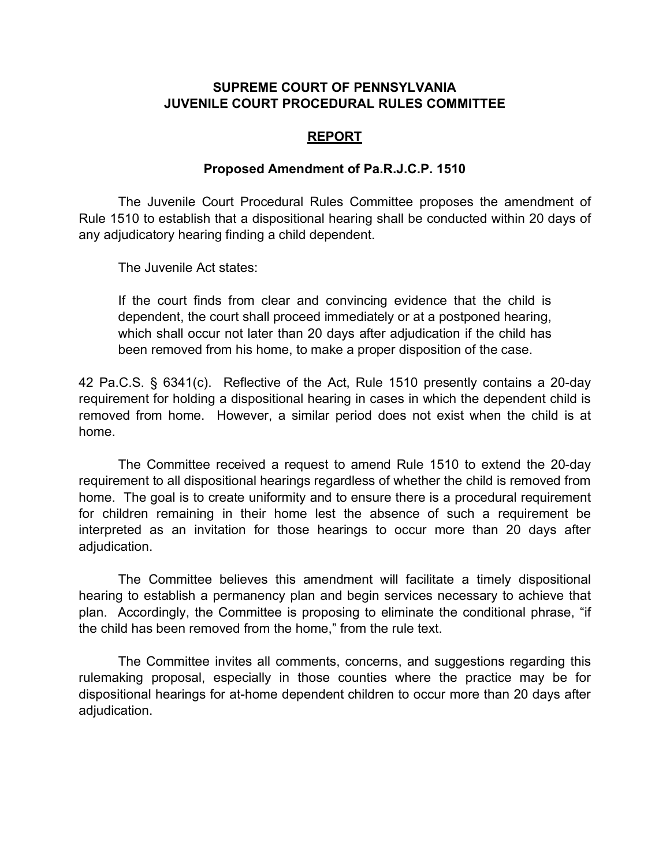# **SUPREME COURT OF PENNSYLVANIA JUVENILE COURT PROCEDURAL RULES COMMITTEE**

### **REPORT**

### **Proposed Amendment of Pa.R.J.C.P. 1510**

The Juvenile Court Procedural Rules Committee proposes the amendment of Rule 1510 to establish that a dispositional hearing shall be conducted within 20 days of any adjudicatory hearing finding a child dependent.

The Juvenile Act states:

If the court finds from clear and convincing evidence that the child is dependent, the court shall proceed immediately or at a postponed hearing, which shall occur not later than 20 days after adjudication if the child has been removed from his home, to make a proper disposition of the case.

42 Pa.C.S. § 6341(c). Reflective of the Act, Rule 1510 presently contains a 20-day requirement for holding a dispositional hearing in cases in which the dependent child is removed from home. However, a similar period does not exist when the child is at home.

The Committee received a request to amend Rule 1510 to extend the 20-day requirement to all dispositional hearings regardless of whether the child is removed from home. The goal is to create uniformity and to ensure there is a procedural requirement for children remaining in their home lest the absence of such a requirement be interpreted as an invitation for those hearings to occur more than 20 days after adjudication.

The Committee believes this amendment will facilitate a timely dispositional hearing to establish a permanency plan and begin services necessary to achieve that plan. Accordingly, the Committee is proposing to eliminate the conditional phrase, "if the child has been removed from the home," from the rule text.

The Committee invites all comments, concerns, and suggestions regarding this rulemaking proposal, especially in those counties where the practice may be for dispositional hearings for at-home dependent children to occur more than 20 days after adjudication.